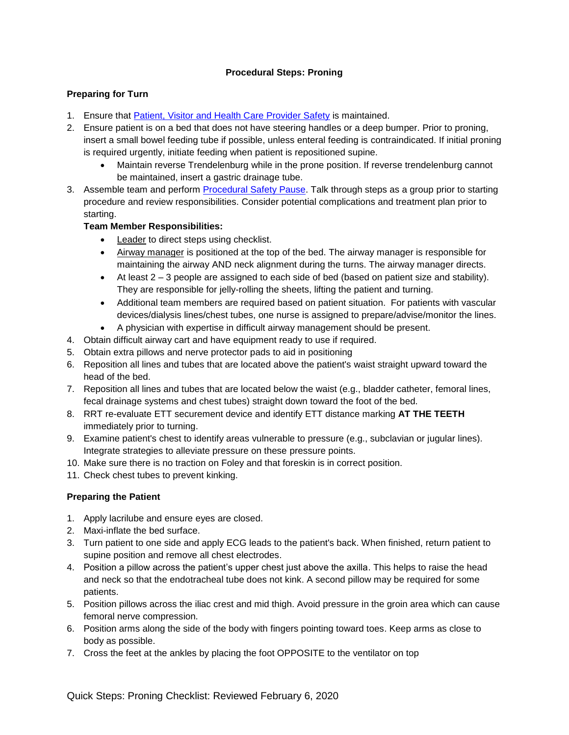#### **Procedural Steps: Proning**

### **Preparing for Turn**

- 1. Ensure that [Patient, Visitor and Health Care Provider Safety](https://www.lhsc.on.ca/critical-care-trauma-centre/safety-in-critical-care-protecting-our-patients-visitors-and-team) is maintained.
- 2. Ensure patient is on a bed that does not have steering handles or a deep bumper. Prior to proning, insert a small bowel feeding tube if possible, unless enteral feeding is contraindicated. If initial proning is required urgently, initiate feeding when patient is repositioned supine.
	- Maintain reverse Trendelenburg while in the prone position. If reverse trendelenburg cannot be maintained, insert a gastric drainage tube.
- 3. Assemble team and perform [Procedural Safety Pause.](https://www.lhsc.on.ca/media/2062/download) Talk through steps as a group prior to starting procedure and review responsibilities. Consider potential complications and treatment plan prior to starting.

### **Team Member Responsibilities:**

- Leader to direct steps using checklist.
- Airway manager is positioned at the top of the bed. The airway manager is responsible for maintaining the airway AND neck alignment during the turns. The airway manager directs.
- At least  $2 3$  people are assigned to each side of bed (based on patient size and stability). They are responsible for jelly-rolling the sheets, lifting the patient and turning.
- Additional team members are required based on patient situation. For patients with vascular devices/dialysis lines/chest tubes, one nurse is assigned to prepare/advise/monitor the lines.
- A physician with expertise in difficult airway management should be present.
- 4. Obtain difficult airway cart and have equipment ready to use if required.
- 5. Obtain extra pillows and nerve protector pads to aid in positioning
- 6. Reposition all lines and tubes that are located above the patient's waist straight upward toward the head of the bed.
- 7. Reposition all lines and tubes that are located below the waist (e.g., bladder catheter, femoral lines, fecal drainage systems and chest tubes) straight down toward the foot of the bed.
- 8. RRT re-evaluate ETT securement device and identify ETT distance marking **AT THE TEETH** immediately prior to turning.
- 9. Examine patient's chest to identify areas vulnerable to pressure (e.g., subclavian or jugular lines). Integrate strategies to alleviate pressure on these pressure points.
- 10. Make sure there is no traction on Foley and that foreskin is in correct position.
- 11. Check chest tubes to prevent kinking.

#### **Preparing the Patient**

- 1. Apply lacrilube and ensure eyes are closed.
- 2. Maxi-inflate the bed surface.
- 3. Turn patient to one side and apply ECG leads to the patient's back. When finished, return patient to supine position and remove all chest electrodes.
- 4. Position a pillow across the patient's upper chest just above the axilla. This helps to raise the head and neck so that the endotracheal tube does not kink. A second pillow may be required for some patients.
- 5. Position pillows across the iliac crest and mid thigh. Avoid pressure in the groin area which can cause femoral nerve compression.
- 6. Position arms along the side of the body with fingers pointing toward toes. Keep arms as close to body as possible.
- 7. Cross the feet at the ankles by placing the foot OPPOSITE to the ventilator on top